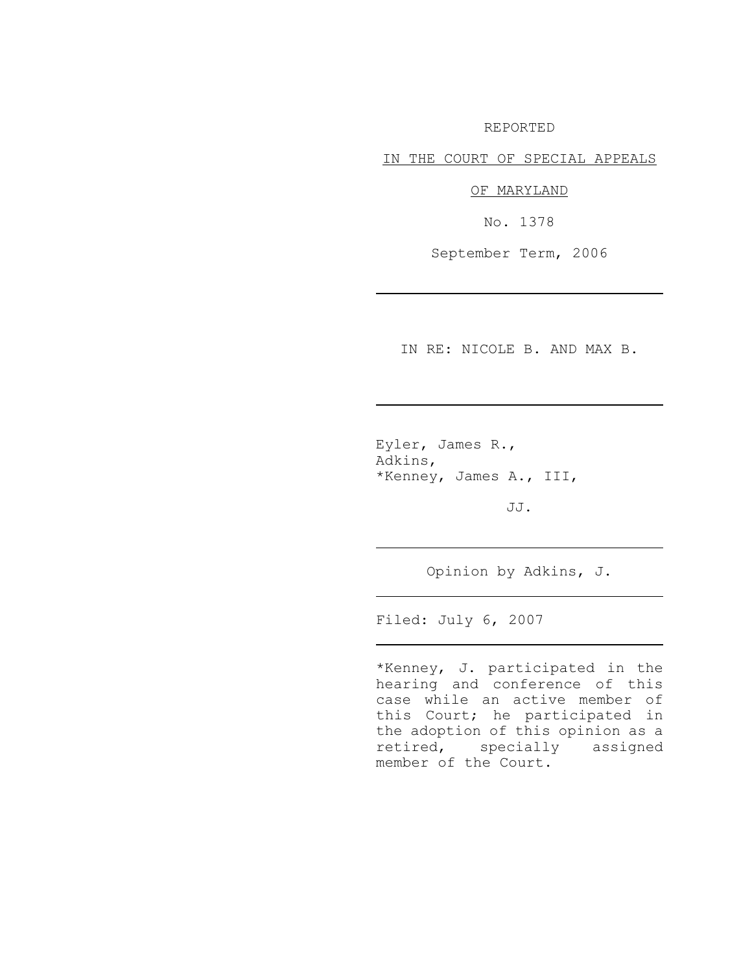REPORTED

IN THE COURT OF SPECIAL APPEALS

OF MARYLAND

No. 1378

September Term, 2006

IN RE: NICOLE B. AND MAX B.

Eyler, James R., Adkins, \*Kenney, James A., III,

JJ.

Opinion by Adkins, J.

Filed: July 6, 2007

\*Kenney, J. participated in the hearing and conference of this case while an active member of this Court; he participated in the adoption of this opinion as a retired, specially assigned member of the Court.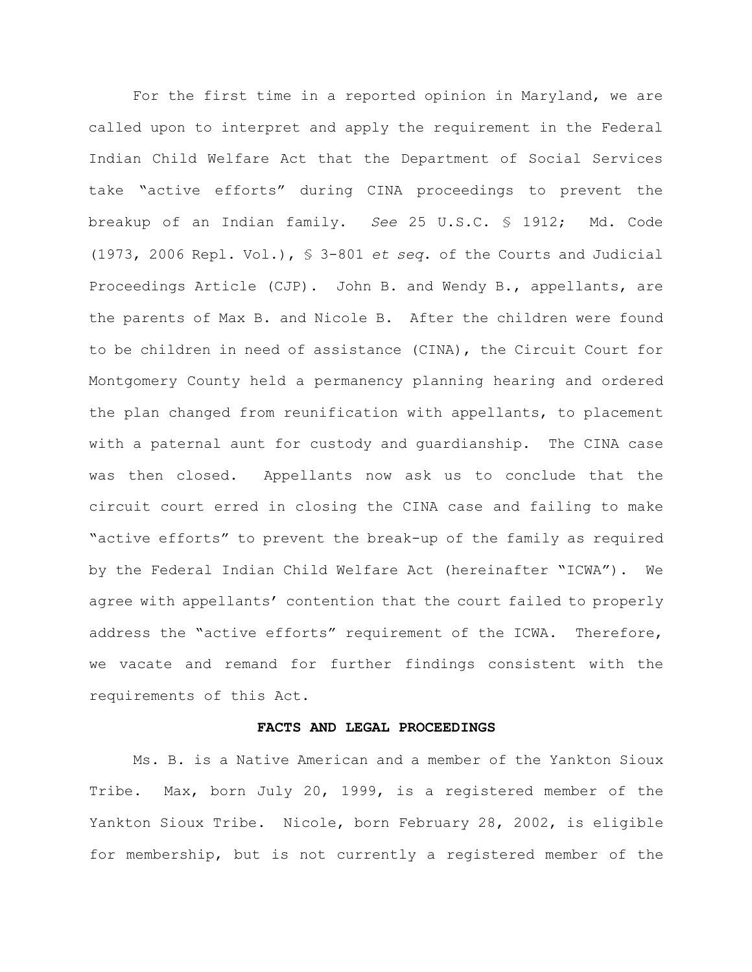For the first time in a reported opinion in Maryland, we are called upon to interpret and apply the requirement in the Federal Indian Child Welfare Act that the Department of Social Services take "active efforts" during CINA proceedings to prevent the breakup of an Indian family. *See* 25 U.S.C. § 1912; Md. Code (1973, 2006 Repl. Vol.), § 3-801 *et seq*. of the Courts and Judicial Proceedings Article (CJP). John B. and Wendy B., appellants, are the parents of Max B. and Nicole B. After the children were found to be children in need of assistance (CINA), the Circuit Court for Montgomery County held a permanency planning hearing and ordered the plan changed from reunification with appellants, to placement with a paternal aunt for custody and guardianship. The CINA case was then closed. Appellants now ask us to conclude that the circuit court erred in closing the CINA case and failing to make "active efforts" to prevent the break-up of the family as required by the Federal Indian Child Welfare Act (hereinafter "ICWA"). We agree with appellants' contention that the court failed to properly address the "active efforts" requirement of the ICWA. Therefore, we vacate and remand for further findings consistent with the requirements of this Act.

#### **FACTS AND LEGAL PROCEEDINGS**

Ms. B. is a Native American and a member of the Yankton Sioux Tribe. Max, born July 20, 1999, is a registered member of the Yankton Sioux Tribe. Nicole, born February 28, 2002, is eligible for membership, but is not currently a registered member of the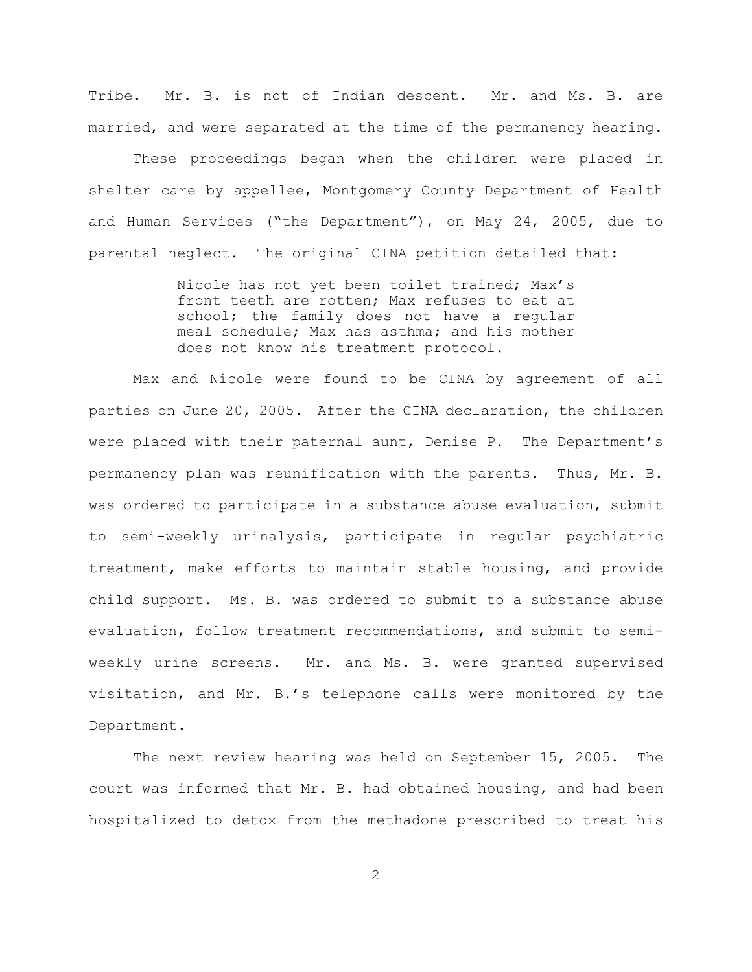Tribe. Mr. B. is not of Indian descent. Mr. and Ms. B. are married, and were separated at the time of the permanency hearing.

These proceedings began when the children were placed in shelter care by appellee, Montgomery County Department of Health and Human Services ("the Department"), on May 24, 2005, due to parental neglect. The original CINA petition detailed that:

> Nicole has not yet been toilet trained; Max's front teeth are rotten; Max refuses to eat at school; the family does not have a regular meal schedule; Max has asthma; and his mother does not know his treatment protocol.

Max and Nicole were found to be CINA by agreement of all parties on June 20, 2005. After the CINA declaration, the children were placed with their paternal aunt, Denise P. The Department's permanency plan was reunification with the parents. Thus, Mr. B. was ordered to participate in a substance abuse evaluation, submit to semi-weekly urinalysis, participate in regular psychiatric treatment, make efforts to maintain stable housing, and provide child support. Ms. B. was ordered to submit to a substance abuse evaluation, follow treatment recommendations, and submit to semiweekly urine screens. Mr. and Ms. B. were granted supervised visitation, and Mr. B.'s telephone calls were monitored by the Department.

The next review hearing was held on September 15, 2005. The court was informed that Mr. B. had obtained housing, and had been hospitalized to detox from the methadone prescribed to treat his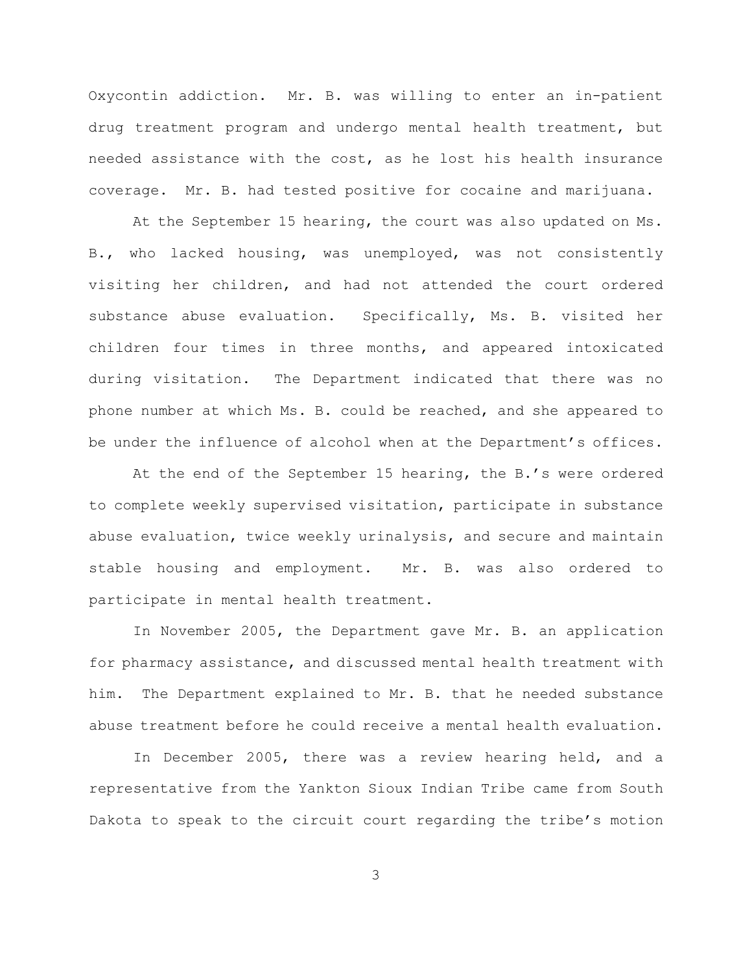Oxycontin addiction. Mr. B. was willing to enter an in-patient drug treatment program and undergo mental health treatment, but needed assistance with the cost, as he lost his health insurance coverage. Mr. B. had tested positive for cocaine and marijuana.

At the September 15 hearing, the court was also updated on Ms. B., who lacked housing, was unemployed, was not consistently visiting her children, and had not attended the court ordered substance abuse evaluation. Specifically, Ms. B. visited her children four times in three months, and appeared intoxicated during visitation. The Department indicated that there was no phone number at which Ms. B. could be reached, and she appeared to be under the influence of alcohol when at the Department's offices.

At the end of the September 15 hearing, the B.'s were ordered to complete weekly supervised visitation, participate in substance abuse evaluation, twice weekly urinalysis, and secure and maintain stable housing and employment. Mr. B. was also ordered to participate in mental health treatment.

In November 2005, the Department gave Mr. B. an application for pharmacy assistance, and discussed mental health treatment with him. The Department explained to Mr. B. that he needed substance abuse treatment before he could receive a mental health evaluation.

In December 2005, there was a review hearing held, and a representative from the Yankton Sioux Indian Tribe came from South Dakota to speak to the circuit court regarding the tribe's motion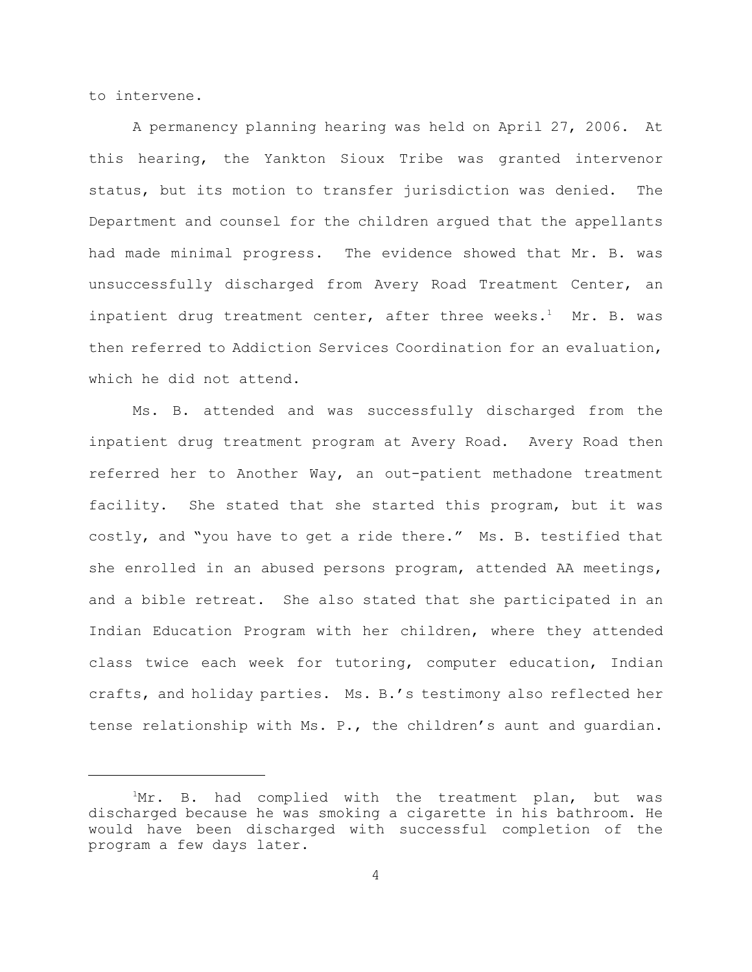to intervene.

A permanency planning hearing was held on April 27, 2006. At this hearing, the Yankton Sioux Tribe was granted intervenor status, but its motion to transfer jurisdiction was denied. The Department and counsel for the children argued that the appellants had made minimal progress. The evidence showed that Mr. B. was unsuccessfully discharged from Avery Road Treatment Center, an inpatient drug treatment center, after three weeks.<sup>1</sup> Mr. B. was then referred to Addiction Services Coordination for an evaluation, which he did not attend.

Ms. B. attended and was successfully discharged from the inpatient drug treatment program at Avery Road. Avery Road then referred her to Another Way, an out-patient methadone treatment facility. She stated that she started this program, but it was costly, and "you have to get a ride there." Ms. B. testified that she enrolled in an abused persons program, attended AA meetings, and a bible retreat. She also stated that she participated in an Indian Education Program with her children, where they attended class twice each week for tutoring, computer education, Indian crafts, and holiday parties. Ms. B.'s testimony also reflected her tense relationship with Ms. P., the children's aunt and guardian.

 $Mr$ . B. had complied with the treatment plan, but was discharged because he was smoking a cigarette in his bathroom. He would have been discharged with successful completion of the program a few days later.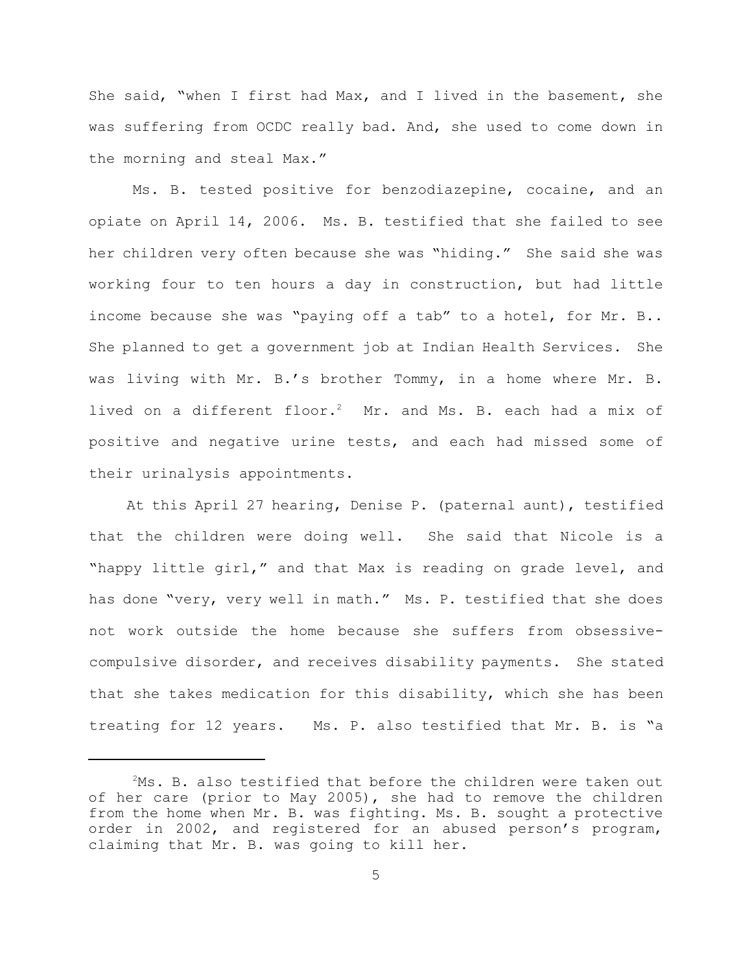She said, "when I first had Max, and I lived in the basement, she was suffering from OCDC really bad. And, she used to come down in the morning and steal Max."

Ms. B. tested positive for benzodiazepine, cocaine, and an opiate on April 14, 2006. Ms. B. testified that she failed to see her children very often because she was "hiding." She said she was working four to ten hours a day in construction, but had little income because she was "paying off a tab" to a hotel, for Mr. B.. She planned to get a government job at Indian Health Services. She was living with Mr. B.'s brother Tommy, in a home where Mr. B. lived on a different floor.<sup>2</sup> Mr. and Ms. B. each had a mix of positive and negative urine tests, and each had missed some of their urinalysis appointments.

 At this April 27 hearing, Denise P. (paternal aunt), testified that the children were doing well. She said that Nicole is a "happy little girl," and that Max is reading on grade level, and has done "very, very well in math." Ms. P. testified that she does not work outside the home because she suffers from obsessivecompulsive disorder, and receives disability payments. She stated that she takes medication for this disability, which she has been treating for 12 years. Ms. P. also testified that Mr. B. is "a

 $2MS.$  B. also testified that before the children were taken out of her care (prior to May 2005), she had to remove the children from the home when Mr. B. was fighting. Ms. B. sought a protective order in 2002, and registered for an abused person's program, claiming that Mr. B. was going to kill her.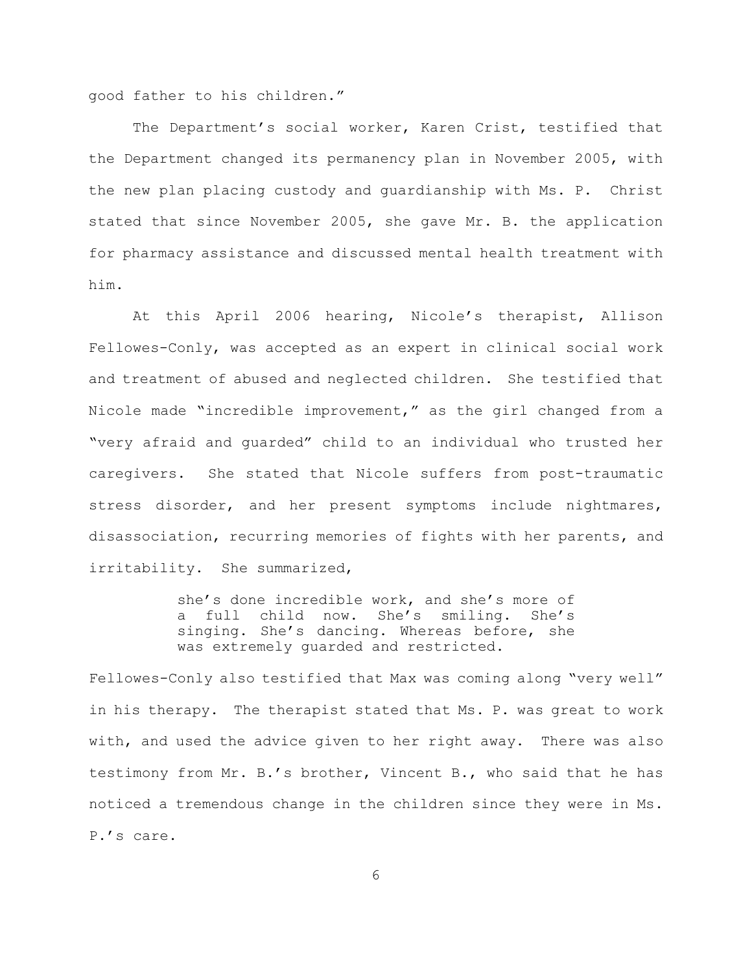good father to his children."

The Department's social worker, Karen Crist, testified that the Department changed its permanency plan in November 2005, with the new plan placing custody and guardianship with Ms. P. Christ stated that since November 2005, she gave Mr. B. the application for pharmacy assistance and discussed mental health treatment with him.

At this April 2006 hearing, Nicole's therapist, Allison Fellowes-Conly, was accepted as an expert in clinical social work and treatment of abused and neglected children. She testified that Nicole made "incredible improvement," as the girl changed from a "very afraid and guarded" child to an individual who trusted her caregivers. She stated that Nicole suffers from post-traumatic stress disorder, and her present symptoms include nightmares, disassociation, recurring memories of fights with her parents, and irritability. She summarized,

> she's done incredible work, and she's more of a full child now. She's smiling. She's singing. She's dancing. Whereas before, she was extremely guarded and restricted.

Fellowes-Conly also testified that Max was coming along "very well" in his therapy. The therapist stated that Ms. P. was great to work with, and used the advice given to her right away. There was also testimony from Mr. B.'s brother, Vincent B., who said that he has noticed a tremendous change in the children since they were in Ms. P.'s care.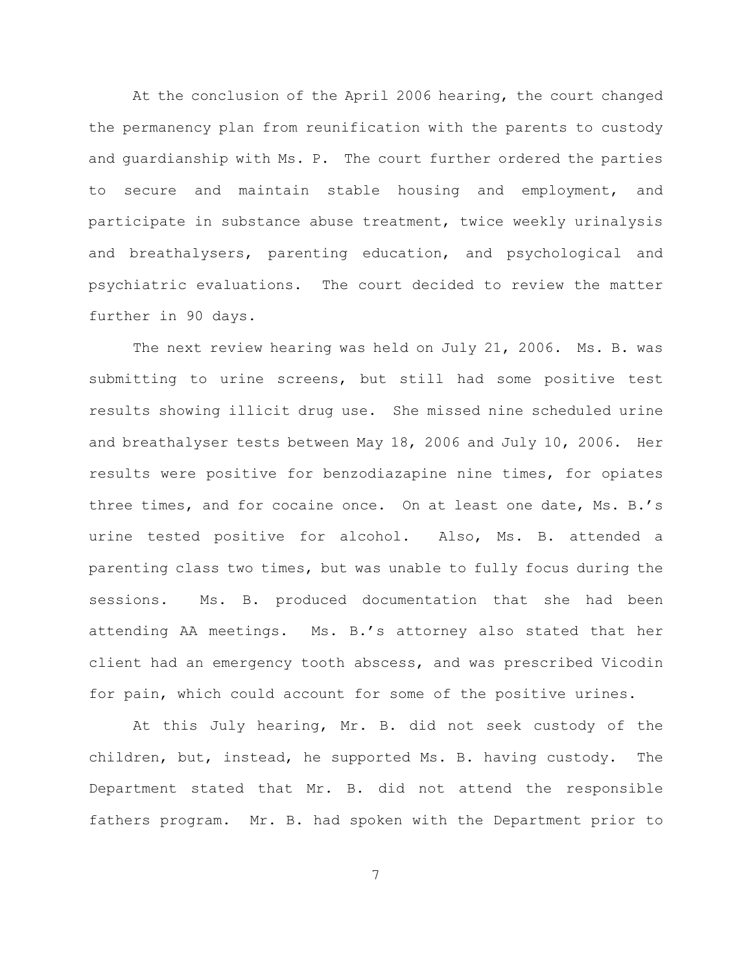At the conclusion of the April 2006 hearing, the court changed the permanency plan from reunification with the parents to custody and guardianship with Ms. P. The court further ordered the parties to secure and maintain stable housing and employment, and participate in substance abuse treatment, twice weekly urinalysis and breathalysers, parenting education, and psychological and psychiatric evaluations. The court decided to review the matter further in 90 days.

The next review hearing was held on July 21, 2006. Ms. B. was submitting to urine screens, but still had some positive test results showing illicit drug use. She missed nine scheduled urine and breathalyser tests between May 18, 2006 and July 10, 2006. Her results were positive for benzodiazapine nine times, for opiates three times, and for cocaine once. On at least one date, Ms. B.'s urine tested positive for alcohol. Also, Ms. B. attended a parenting class two times, but was unable to fully focus during the sessions. Ms. B. produced documentation that she had been attending AA meetings. Ms. B.'s attorney also stated that her client had an emergency tooth abscess, and was prescribed Vicodin for pain, which could account for some of the positive urines.

At this July hearing, Mr. B. did not seek custody of the children, but, instead, he supported Ms. B. having custody. The Department stated that Mr. B. did not attend the responsible fathers program. Mr. B. had spoken with the Department prior to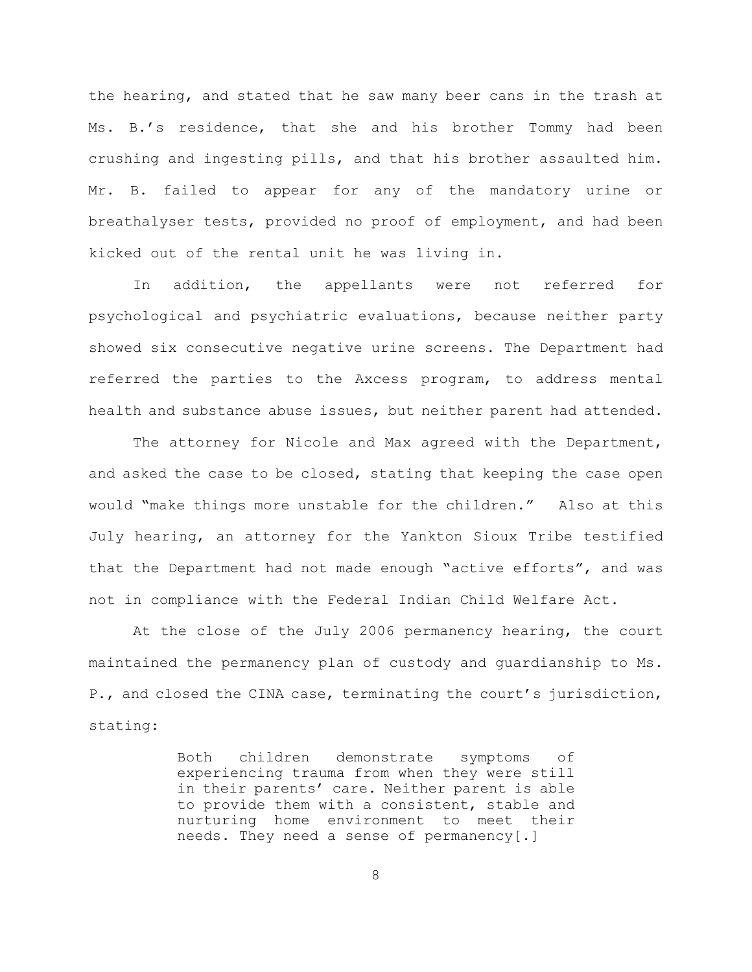the hearing, and stated that he saw many beer cans in the trash at Ms. B.'s residence, that she and his brother Tommy had been crushing and ingesting pills, and that his brother assaulted him. Mr. B. failed to appear for any of the mandatory urine or breathalyser tests, provided no proof of employment, and had been kicked out of the rental unit he was living in.

In addition, the appellants were not referred for psychological and psychiatric evaluations, because neither party showed six consecutive negative urine screens. The Department had referred the parties to the Axcess program, to address mental health and substance abuse issues, but neither parent had attended.

The attorney for Nicole and Max agreed with the Department, and asked the case to be closed, stating that keeping the case open would "make things more unstable for the children." Also at this July hearing, an attorney for the Yankton Sioux Tribe testified that the Department had not made enough "active efforts", and was not in compliance with the Federal Indian Child Welfare Act.

At the close of the July 2006 permanency hearing, the court maintained the permanency plan of custody and guardianship to Ms. P., and closed the CINA case, terminating the court's jurisdiction, stating:

> Both children demonstrate symptoms of experiencing trauma from when they were still in their parents' care. Neither parent is able to provide them with a consistent, stable and nurturing home environment to meet their needs. They need a sense of permanency[.]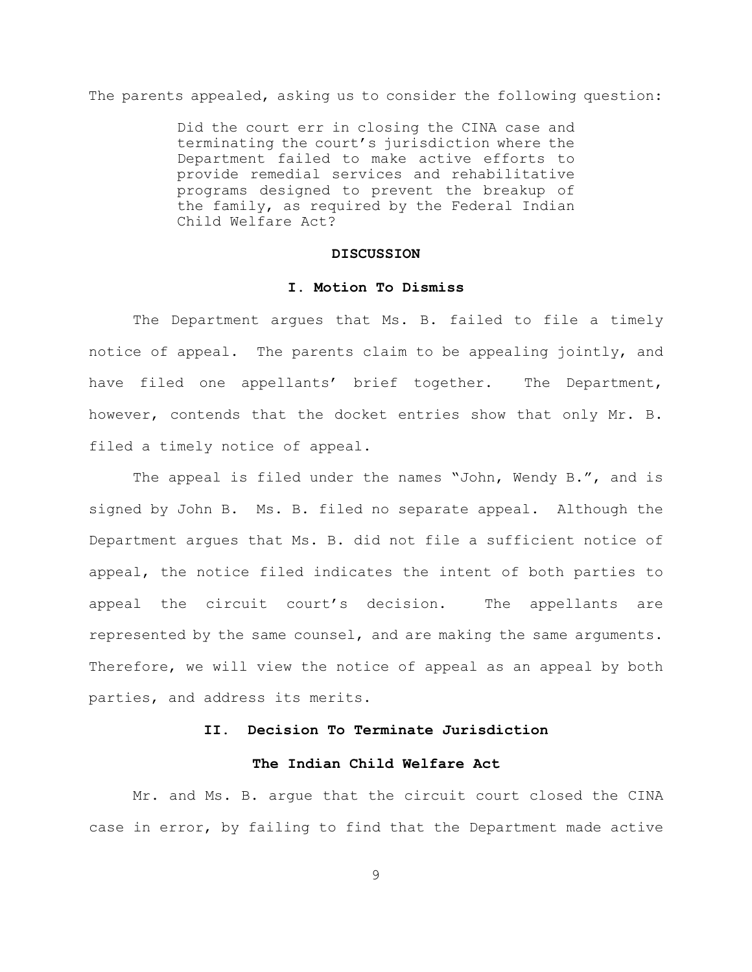The parents appealed, asking us to consider the following question:

Did the court err in closing the CINA case and terminating the court's jurisdiction where the Department failed to make active efforts to provide remedial services and rehabilitative programs designed to prevent the breakup of the family, as required by the Federal Indian Child Welfare Act?

## **DISCUSSION**

#### **I. Motion To Dismiss**

The Department argues that Ms. B. failed to file a timely notice of appeal. The parents claim to be appealing jointly, and have filed one appellants' brief together. The Department, however, contends that the docket entries show that only Mr. B. filed a timely notice of appeal.

The appeal is filed under the names "John, Wendy B.", and is signed by John B. Ms. B. filed no separate appeal. Although the Department argues that Ms. B. did not file a sufficient notice of appeal, the notice filed indicates the intent of both parties to appeal the circuit court's decision. The appellants are represented by the same counsel, and are making the same arguments. Therefore, we will view the notice of appeal as an appeal by both parties, and address its merits.

# **II. Decision To Terminate Jurisdiction**

# **The Indian Child Welfare Act**

Mr. and Ms. B. argue that the circuit court closed the CINA case in error, by failing to find that the Department made active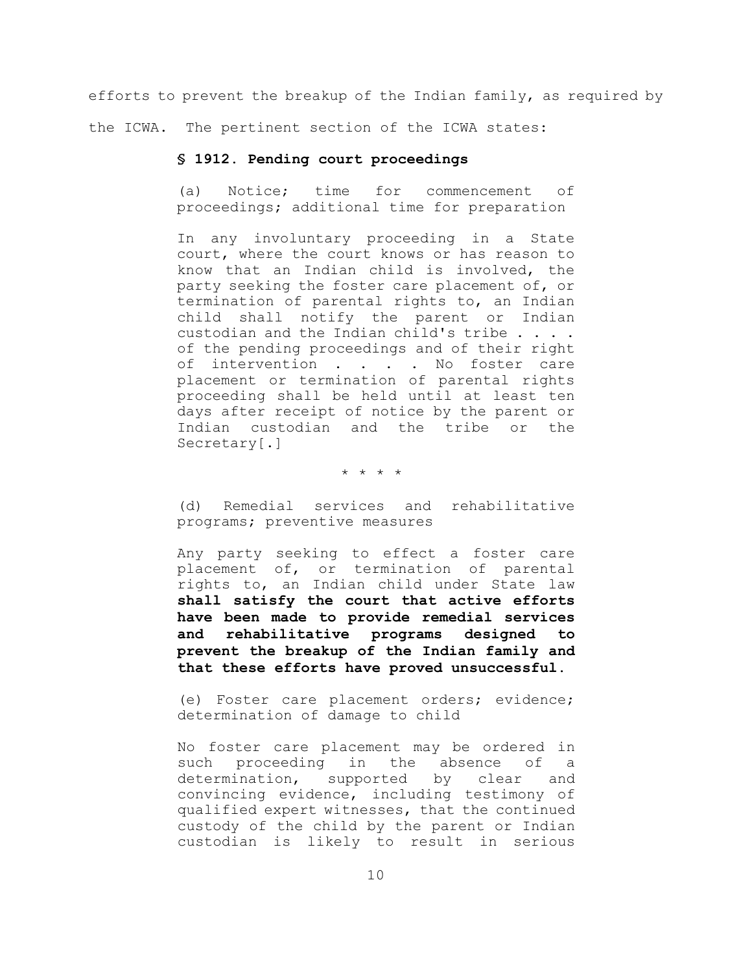efforts to prevent the breakup of the Indian family, as required by

the ICWA. The pertinent section of the ICWA states:

# **§ 1912. Pending court proceedings**

(a) Notice; time for commencement of proceedings; additional time for preparation

In any involuntary proceeding in a State court, where the court knows or has reason to know that an Indian child is involved, the party seeking the foster care placement of, or termination of parental rights to, an Indian child shall notify the parent or Indian custodian and the Indian child's tribe . . . . of the pending proceedings and of their right of intervention . . . No foster care placement or termination of parental rights proceeding shall be held until at least ten days after receipt of notice by the parent or Indian custodian and the tribe or the Secretary[.]

\* \* \* \*

(d) Remedial services and rehabilitative programs; preventive measures

Any party seeking to effect a foster care placement of, or termination of parental rights to, an Indian child under State law **shall satisfy the court that active efforts have been made to provide remedial services and rehabilitative programs designed to prevent the breakup of the Indian family and that these efforts have proved unsuccessful.**

(e) Foster care placement orders; evidence; determination of damage to child

No foster care placement may be ordered in such proceeding in the absence of a determination, supported by clear and convincing evidence, including testimony of qualified expert witnesses, that the continued custody of the child by the parent or Indian custodian is likely to result in serious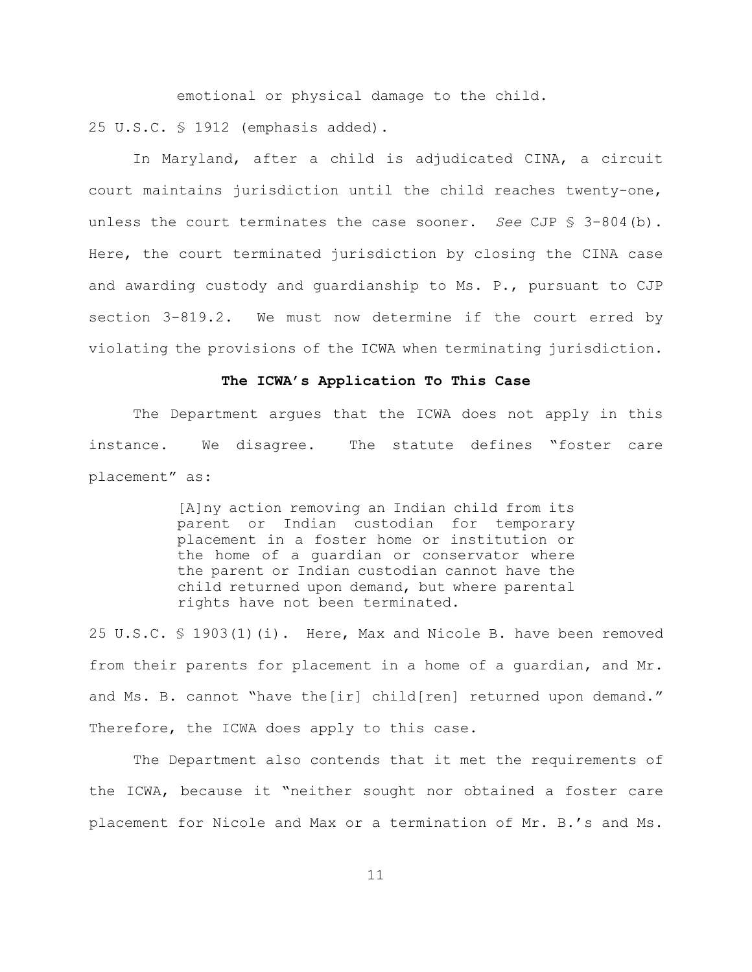emotional or physical damage to the child. 25 U.S.C. § 1912 (emphasis added).

In Maryland, after a child is adjudicated CINA, a circuit court maintains jurisdiction until the child reaches twenty-one, unless the court terminates the case sooner. *See* CJP § 3-804(b). Here, the court terminated jurisdiction by closing the CINA case and awarding custody and guardianship to Ms. P., pursuant to CJP section 3-819.2. We must now determine if the court erred by violating the provisions of the ICWA when terminating jurisdiction.

# **The ICWA's Application To This Case**

The Department argues that the ICWA does not apply in this instance. We disagree. The statute defines "foster care placement" as:

> [A]ny action removing an Indian child from its parent or Indian custodian for temporary placement in a foster home or institution or the home of a guardian or conservator where the parent or Indian custodian cannot have the child returned upon demand, but where parental rights have not been terminated.

25 U.S.C. § 1903(1)(i). Here, Max and Nicole B. have been removed from their parents for placement in a home of a guardian, and Mr. and Ms. B. cannot "have the[ir] child[ren] returned upon demand." Therefore, the ICWA does apply to this case.

The Department also contends that it met the requirements of the ICWA, because it "neither sought nor obtained a foster care placement for Nicole and Max or a termination of Mr. B.'s and Ms.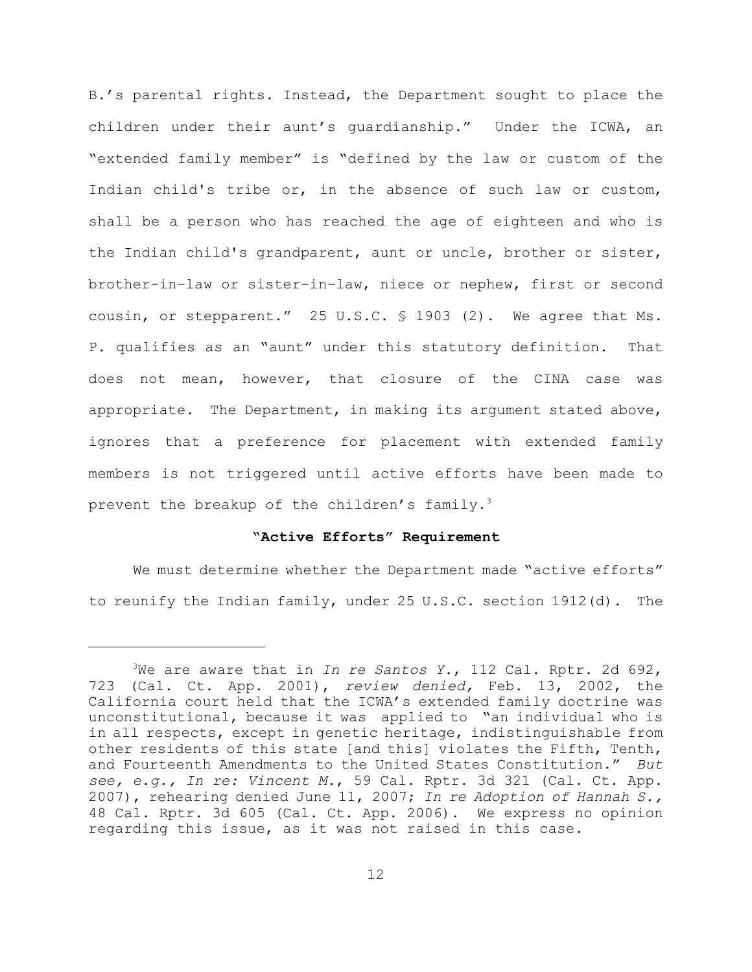B.'s parental rights. Instead, the Department sought to place the children under their aunt's guardianship." Under the ICWA, an "extended family member" is "defined by the law or custom of the Indian child's tribe or, in the absence of such law or custom, shall be a person who has reached the age of eighteen and who is the Indian child's grandparent, aunt or uncle, brother or sister, brother-in-law or sister-in-law, niece or nephew, first or second cousin, or stepparent." 25 U.S.C. § 1903 (2). We agree that Ms. P. qualifies as an "aunt" under this statutory definition. That does not mean, however, that closure of the CINA case was appropriate. The Department, in making its argument stated above, ignores that a preference for placement with extended family members is not triggered until active efforts have been made to prevent the breakup of the children's family.<sup>3</sup>

# **"Active Efforts" Requirement**

We must determine whether the Department made "active efforts" to reunify the Indian family, under 25 U.S.C. section 1912(d). The

<sup>3</sup>We are aware that in *In re Santos Y.*, 112 Cal. Rptr. 2d 692, 723 (Cal. Ct. App. 2001), *review denied,* Feb. 13, 2002, the California court held that the ICWA's extended family doctrine was unconstitutional, because it was applied to "an individual who is in all respects, except in genetic heritage, indistinguishable from other residents of this state [and this] violates the Fifth, Tenth, and Fourteenth Amendments to the United States Constitution." *But see, e.g., In re: Vincent M.*, 59 Cal. Rptr. 3d 321 (Cal. Ct. App. 2007), rehearing denied June 11, 2007; *In re Adoption of Hannah S.,* 48 Cal. Rptr. 3d 605 (Cal. Ct. App. 2006). We express no opinion regarding this issue, as it was not raised in this case.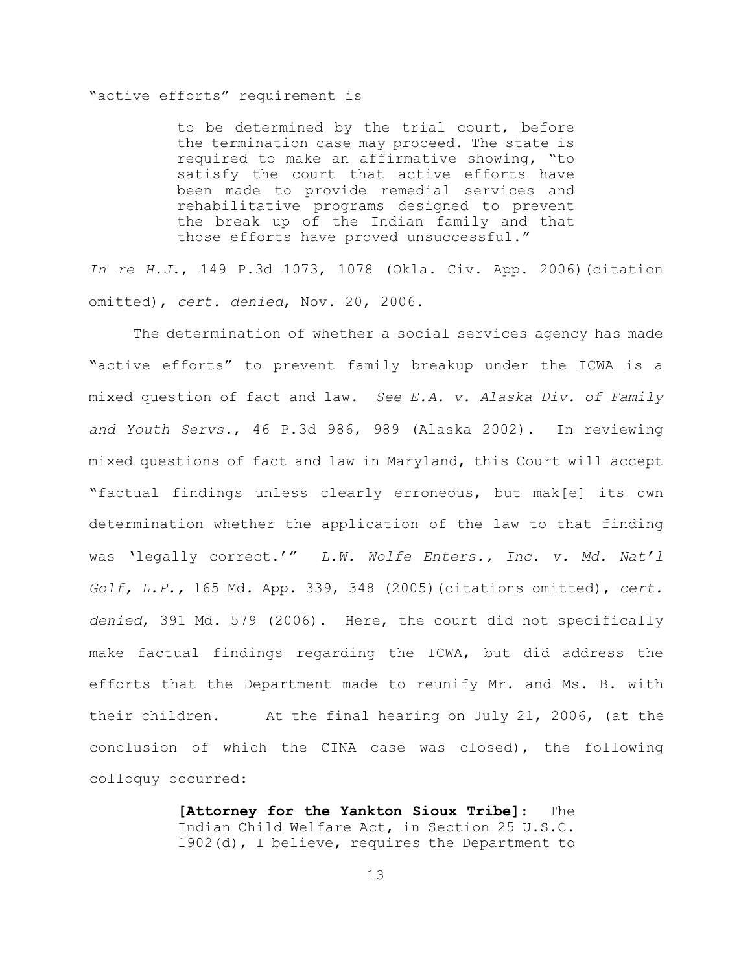## "active efforts" requirement is

to be determined by the trial court, before the termination case may proceed. The state is required to make an affirmative showing, "to satisfy the court that active efforts have been made to provide remedial services and rehabilitative programs designed to prevent the break up of the Indian family and that those efforts have proved unsuccessful."

*In re H.J.*, 149 P.3d 1073, 1078 (Okla. Civ. App. 2006)(citation omitted), *cert. denied*, Nov. 20, 2006.

The determination of whether a social services agency has made "active efforts" to prevent family breakup under the ICWA is a mixed question of fact and law. *See E.A. v. Alaska Div. of Family and Youth Servs.*, 46 P.3d 986, 989 (Alaska 2002). In reviewing mixed questions of fact and law in Maryland, this Court will accept "factual findings unless clearly erroneous, but mak[e] its own determination whether the application of the law to that finding was 'legally correct.'" *L.W. Wolfe Enters., Inc. v. Md. Nat'l Golf, L.P.,* 165 Md. App. 339, 348 (2005)(citations omitted), *cert. denied*, 391 Md. 579 (2006). Here, the court did not specifically make factual findings regarding the ICWA, but did address the efforts that the Department made to reunify Mr. and Ms. B. with their children. At the final hearing on July 21, 2006, (at the conclusion of which the CINA case was closed), the following colloquy occurred:

> **[Attorney for the Yankton Sioux Tribe]**: The Indian Child Welfare Act, in Section 25 U.S.C. 1902(d), I believe, requires the Department to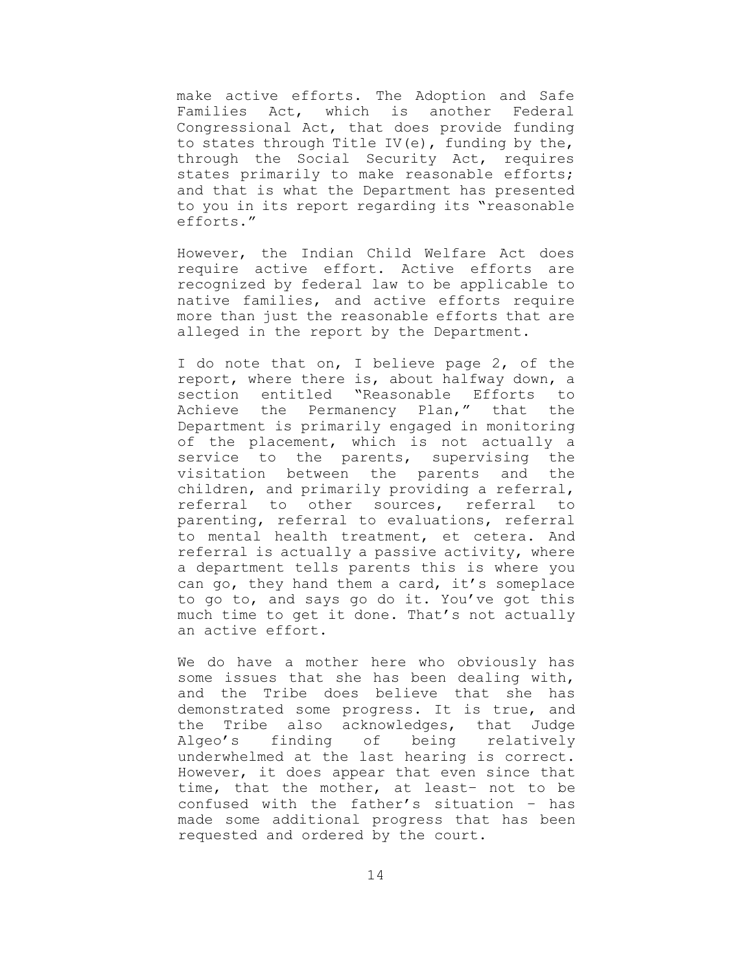make active efforts. The Adoption and Safe Families Act, which is another Federal Congressional Act, that does provide funding to states through Title IV(e), funding by the, through the Social Security Act, requires states primarily to make reasonable efforts; and that is what the Department has presented to you in its report regarding its "reasonable efforts."

However, the Indian Child Welfare Act does require active effort. Active efforts are recognized by federal law to be applicable to native families, and active efforts require more than just the reasonable efforts that are alleged in the report by the Department.

I do note that on, I believe page 2, of the report, where there is, about halfway down, a section entitled "Reasonable Efforts to Achieve the Permanency Plan," that the Department is primarily engaged in monitoring of the placement, which is not actually a service to the parents, supervising the visitation between the parents and the children, and primarily providing a referral, referral to other sources, referral to parenting, referral to evaluations, referral to mental health treatment, et cetera. And referral is actually a passive activity, where a department tells parents this is where you can go, they hand them a card, it's someplace to go to, and says go do it. You've got this much time to get it done. That's not actually an active effort.

We do have a mother here who obviously has some issues that she has been dealing with, and the Tribe does believe that she has demonstrated some progress. It is true, and the Tribe also acknowledges, that Judge Algeo's finding of being relatively underwhelmed at the last hearing is correct. However, it does appear that even since that time, that the mother, at least– not to be confused with the father's situation – has made some additional progress that has been requested and ordered by the court.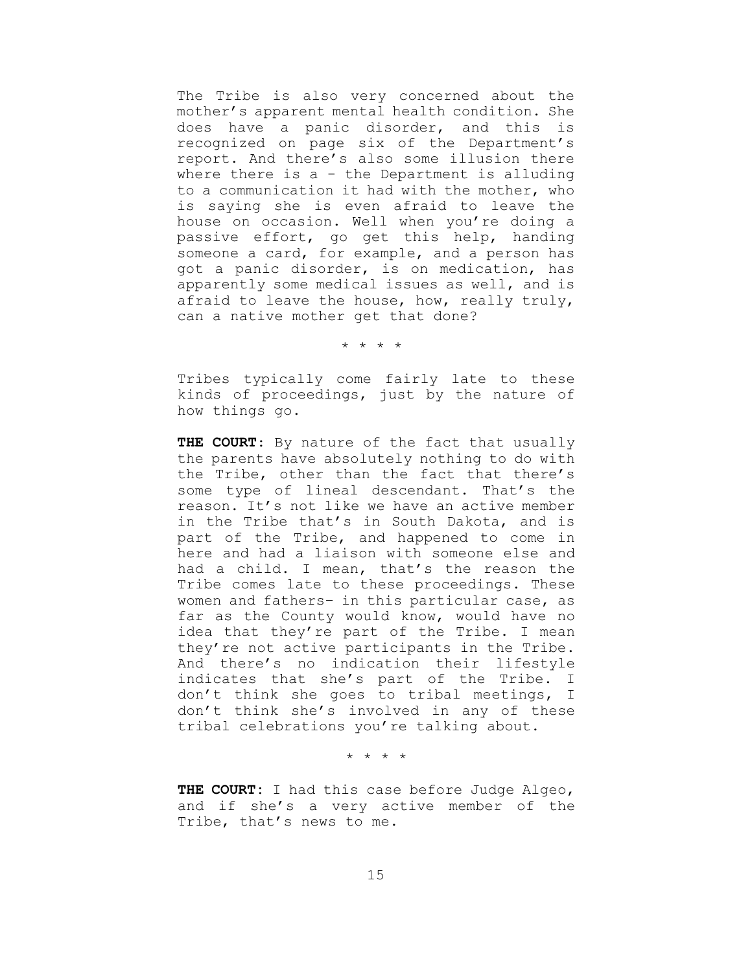The Tribe is also very concerned about the mother's apparent mental health condition. She does have a panic disorder, and this is recognized on page six of the Department's report. And there's also some illusion there where there is a - the Department is alluding to a communication it had with the mother, who is saying she is even afraid to leave the house on occasion. Well when you're doing a passive effort, go get this help, handing someone a card, for example, and a person has got a panic disorder, is on medication, has apparently some medical issues as well, and is afraid to leave the house, how, really truly, can a native mother get that done?

\* \* \* \*

Tribes typically come fairly late to these kinds of proceedings, just by the nature of how things go.

**THE COURT**: By nature of the fact that usually the parents have absolutely nothing to do with the Tribe, other than the fact that there's some type of lineal descendant. That's the reason. It's not like we have an active member in the Tribe that's in South Dakota, and is part of the Tribe, and happened to come in here and had a liaison with someone else and had a child. I mean, that's the reason the Tribe comes late to these proceedings. These women and fathers– in this particular case, as far as the County would know, would have no idea that they're part of the Tribe. I mean they're not active participants in the Tribe. And there's no indication their lifestyle indicates that she's part of the Tribe. I don't think she goes to tribal meetings, I don't think she's involved in any of these tribal celebrations you're talking about.

\* \* \* \*

**THE COURT:** I had this case before Judge Algeo, and if she's a very active member of the Tribe, that's news to me.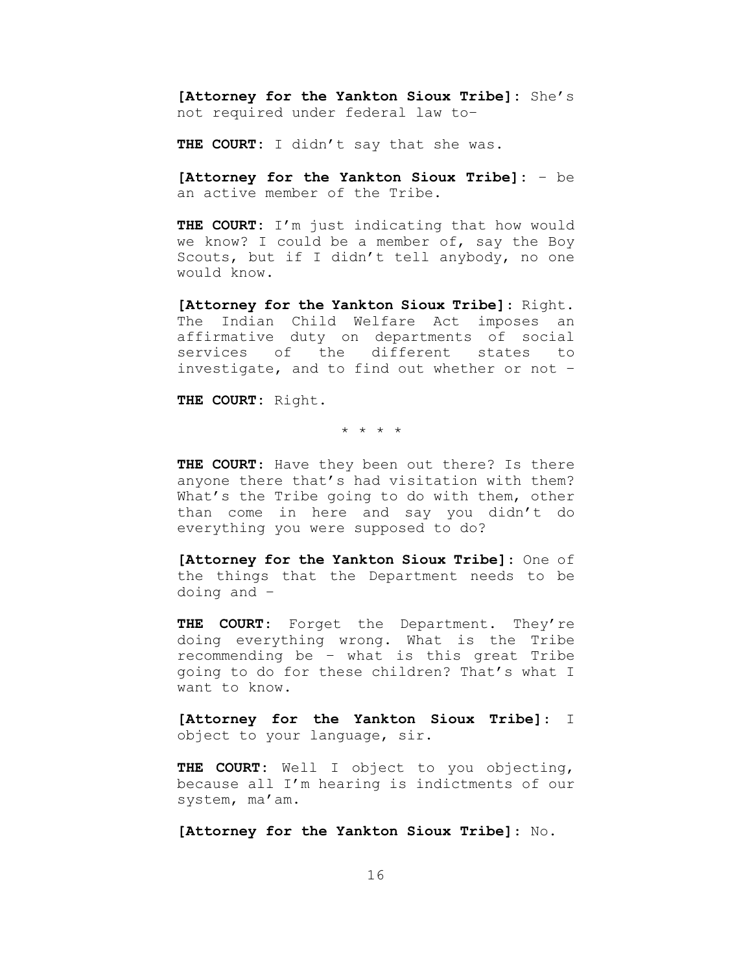**[Attorney for the Yankton Sioux Tribe]:** She's not required under federal law to–

**THE COURT:** I didn't say that she was.

**[Attorney for the Yankton Sioux Tribe]:** – be an active member of the Tribe.

**THE COURT:** I'm just indicating that how would we know? I could be a member of, say the Boy Scouts, but if I didn't tell anybody, no one would know.

**[Attorney for the Yankton Sioux Tribe]**: Right. The Indian Child Welfare Act imposes an affirmative duty on departments of social services of the different states to investigate, and to find out whether or not –

**THE COURT:** Right.

\* \* \* \*

**THE COURT**: Have they been out there? Is there anyone there that's had visitation with them? What's the Tribe going to do with them, other than come in here and say you didn't do everything you were supposed to do?

**[Attorney for the Yankton Sioux Tribe]**: One of the things that the Department needs to be doing and –

**THE COURT**: Forget the Department. They're doing everything wrong. What is the Tribe recommending be – what is this great Tribe going to do for these children? That's what I want to know.

**[Attorney for the Yankton Sioux Tribe]**: I object to your language, sir.

**THE COURT:** Well I object to you objecting, because all I'm hearing is indictments of our system, ma'am.

**[Attorney for the Yankton Sioux Tribe]**: No.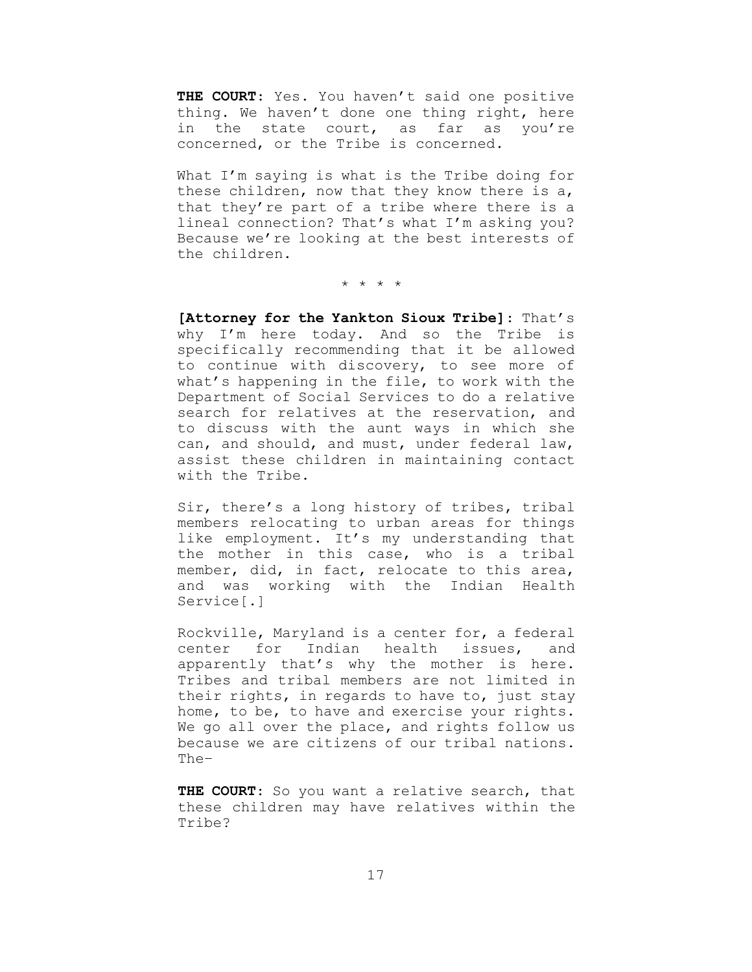**THE COURT**: Yes. You haven't said one positive thing. We haven't done one thing right, here in the state court, as far as you're concerned, or the Tribe is concerned.

What I'm saying is what is the Tribe doing for these children, now that they know there is a, that they're part of a tribe where there is a lineal connection? That's what I'm asking you? Because we're looking at the best interests of the children.

\* \* \* \*

**[Attorney for the Yankton Sioux Tribe]**: That's why I'm here today. And so the Tribe is specifically recommending that it be allowed to continue with discovery, to see more of what's happening in the file, to work with the Department of Social Services to do a relative search for relatives at the reservation, and to discuss with the aunt ways in which she can, and should, and must, under federal law, assist these children in maintaining contact with the Tribe.

Sir, there's a long history of tribes, tribal members relocating to urban areas for things like employment. It's my understanding that the mother in this case, who is a tribal member, did, in fact, relocate to this area, and was working with the Indian Health Service[.]

Rockville, Maryland is a center for, a federal center for Indian health issues, and apparently that's why the mother is here. Tribes and tribal members are not limited in their rights, in regards to have to, just stay home, to be, to have and exercise your rights. We go all over the place, and rights follow us because we are citizens of our tribal nations. The–

**THE COURT**: So you want a relative search, that these children may have relatives within the Tribe?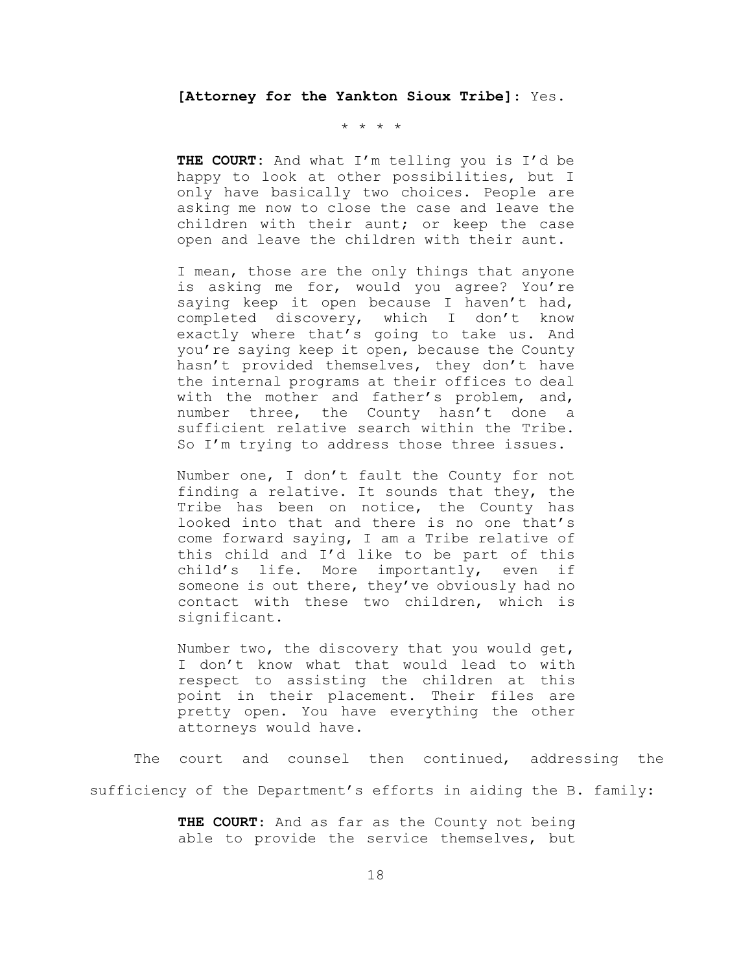**[Attorney for the Yankton Sioux Tribe]**: Yes.

\* \* \* \*

**THE COURT:** And what I'm telling you is I'd be happy to look at other possibilities, but I only have basically two choices. People are asking me now to close the case and leave the children with their aunt; or keep the case open and leave the children with their aunt.

I mean, those are the only things that anyone is asking me for, would you agree? You're saying keep it open because I haven't had, completed discovery, which I don't know exactly where that's going to take us. And you're saying keep it open, because the County hasn't provided themselves, they don't have the internal programs at their offices to deal with the mother and father's problem, and, number three, the County hasn't done a sufficient relative search within the Tribe. So I'm trying to address those three issues.

Number one, I don't fault the County for not finding a relative. It sounds that they, the Tribe has been on notice, the County has looked into that and there is no one that's come forward saying, I am a Tribe relative of this child and I'd like to be part of this child's life. More importantly, even if someone is out there, they've obviously had no contact with these two children, which is significant.

Number two, the discovery that you would get, I don't know what that would lead to with respect to assisting the children at this point in their placement. Their files are pretty open. You have everything the other attorneys would have.

The court and counsel then continued, addressing the sufficiency of the Department's efforts in aiding the B. family:

> **THE COURT**: And as far as the County not being able to provide the service themselves, but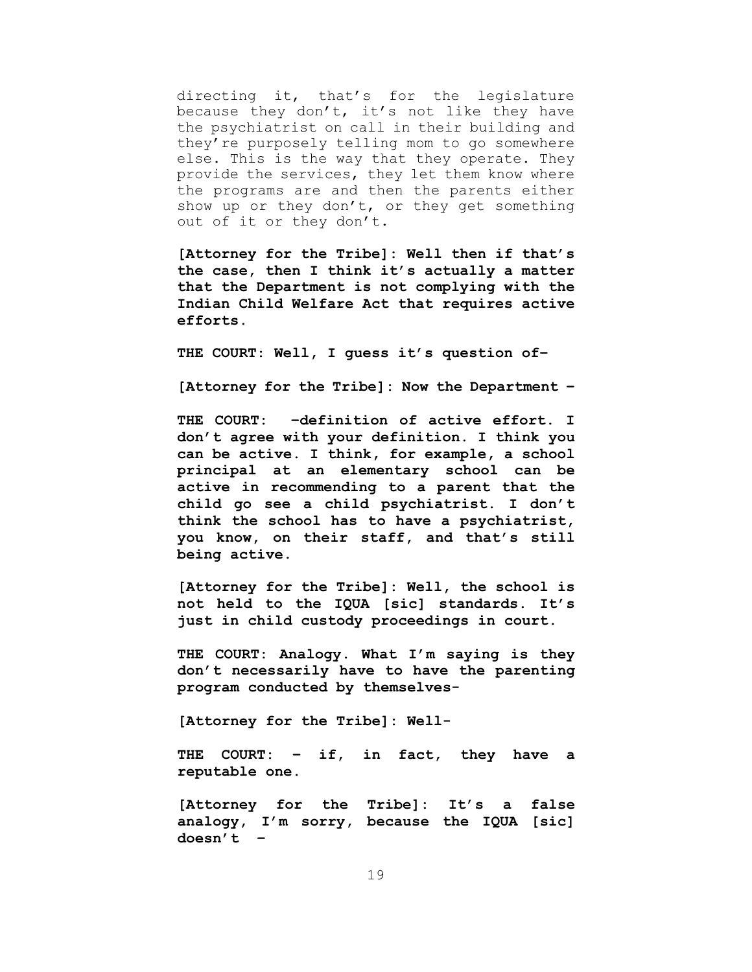directing it, that's for the legislature because they don't, it's not like they have the psychiatrist on call in their building and they're purposely telling mom to go somewhere else. This is the way that they operate. They provide the services, they let them know where the programs are and then the parents either show up or they don't, or they get something out of it or they don't.

**[Attorney for the Tribe]: Well then if that's the case, then I think it's actually a matter that the Department is not complying with the Indian Child Welfare Act that requires active efforts.**

**THE COURT**: **Well, I guess it's question of–**

**[Attorney for the Tribe]: Now the Department –**

**THE COURT: –definition of active effort. I don't agree with your definition. I think you can be active. I think, for example, a school principal at an elementary school can be active in recommending to a parent that the child go see a child psychiatrist. I don't think the school has to have a psychiatrist, you know, on their staff, and that's still being active.**

**[Attorney for the Tribe]: Well, the school is not held to the IQUA [sic] standards. It's just in child custody proceedings in court.**

**THE COURT: Analogy. What I'm saying is they don't necessarily have to have the parenting program conducted by themselves-**

**[Attorney for the Tribe]: Well-**

**THE COURT: – if, in fact, they have a reputable one.**

**[Attorney for the Tribe]: It's a false analogy, I'm sorry, because the IQUA [sic] doesn't –**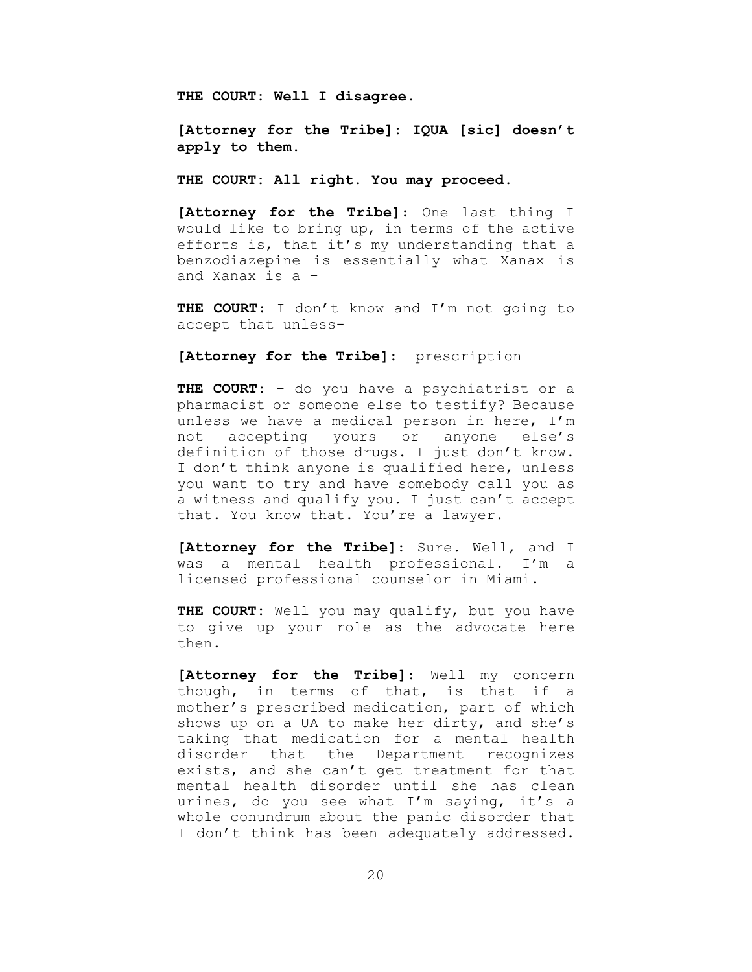**THE COURT: Well I disagree.**

**[Attorney for the Tribe]: IQUA [sic] doesn't apply to them.**

**THE COURT: All right. You may proceed.**

**[Attorney for the Tribe]**: One last thing I would like to bring up, in terms of the active efforts is, that it's my understanding that a benzodiazepine is essentially what Xanax is and Xanax is a –

**THE COURT**: I don't know and I'm not going to accept that unless-

**[Attorney for the Tribe]**: –prescription–

**THE COURT**: – do you have a psychiatrist or a pharmacist or someone else to testify? Because unless we have a medical person in here, I'm not accepting yours or anyone else's definition of those drugs. I just don't know. I don't think anyone is qualified here, unless you want to try and have somebody call you as a witness and qualify you. I just can't accept that. You know that. You're a lawyer.

**[Attorney for the Tribe]**: Sure. Well, and I was a mental health professional. I'm a licensed professional counselor in Miami.

**THE COURT**: Well you may qualify, but you have to give up your role as the advocate here then.

**[Attorney for the Tribe]**: Well my concern though, in terms of that, is that if a mother's prescribed medication, part of which shows up on a UA to make her dirty, and she's taking that medication for a mental health disorder that the Department recognizes exists, and she can't get treatment for that mental health disorder until she has clean urines, do you see what I'm saying, it's a whole conundrum about the panic disorder that I don't think has been adequately addressed.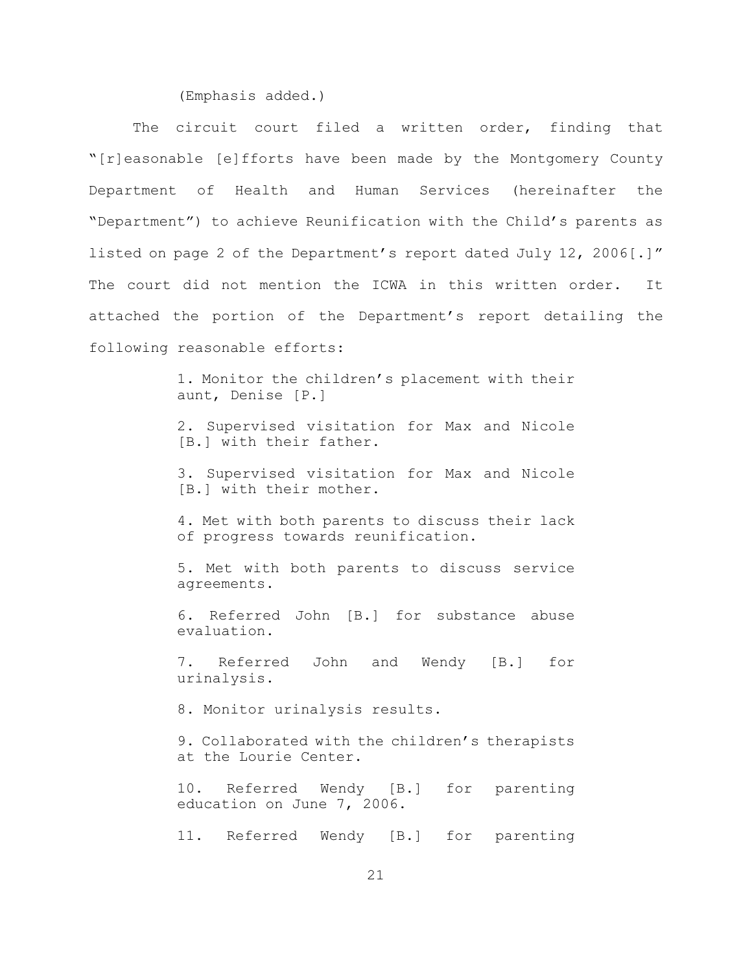(Emphasis added.)

The circuit court filed a written order, finding that "[r]easonable [e]fforts have been made by the Montgomery County Department of Health and Human Services (hereinafter the "Department") to achieve Reunification with the Child's parents as listed on page 2 of the Department's report dated July 12, 2006[.]" The court did not mention the ICWA in this written order. It attached the portion of the Department's report detailing the following reasonable efforts:

> 1. Monitor the children's placement with their aunt, Denise [P.]

> 2. Supervised visitation for Max and Nicole [B.] with their father.

> 3. Supervised visitation for Max and Nicole [B.] with their mother.

> 4. Met with both parents to discuss their lack of progress towards reunification.

> 5. Met with both parents to discuss service agreements.

> 6. Referred John [B.] for substance abuse evaluation.

> 7. Referred John and Wendy [B.] for urinalysis.

8. Monitor urinalysis results.

9. Collaborated with the children's therapists at the Lourie Center.

10. Referred Wendy [B.] for parenting education on June 7, 2006.

11. Referred Wendy [B.] for parenting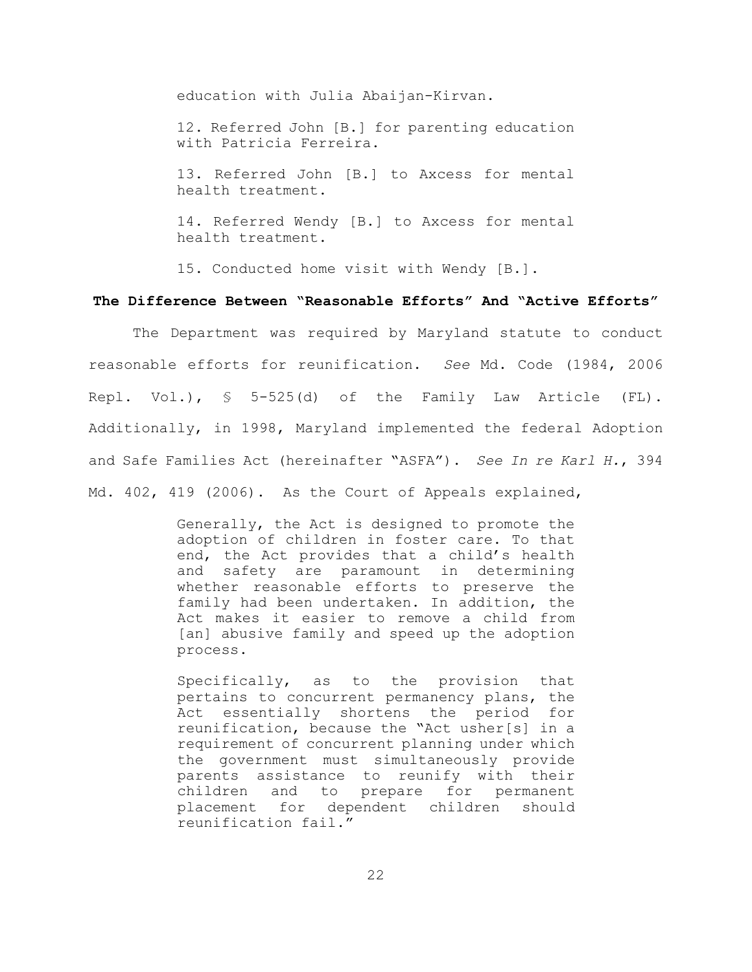education with Julia Abaijan-Kirvan.

12. Referred John [B.] for parenting education with Patricia Ferreira.

13. Referred John [B.] to Axcess for mental health treatment.

14. Referred Wendy [B.] to Axcess for mental health treatment.

15. Conducted home visit with Wendy [B.].

## **The Difference Between "Reasonable Efforts" And "Active Efforts"**

The Department was required by Maryland statute to conduct reasonable efforts for reunification. *See* Md. Code (1984, 2006 Repl. Vol.), § 5-525(d) of the Family Law Article (FL). Additionally, in 1998, Maryland implemented the federal Adoption and Safe Families Act (hereinafter "ASFA"). *See In re Karl H.*, 394 Md. 402, 419 (2006). As the Court of Appeals explained,

> Generally, the Act is designed to promote the adoption of children in foster care. To that end, the Act provides that a child's health and safety are paramount in determining whether reasonable efforts to preserve the family had been undertaken. In addition, the Act makes it easier to remove a child from [an] abusive family and speed up the adoption process.

> Specifically, as to the provision that pertains to concurrent permanency plans, the Act essentially shortens the period for reunification, because the "Act usher[s] in a requirement of concurrent planning under which the government must simultaneously provide parents assistance to reunify with their children and to prepare for permanent placement for dependent children should reunification fail."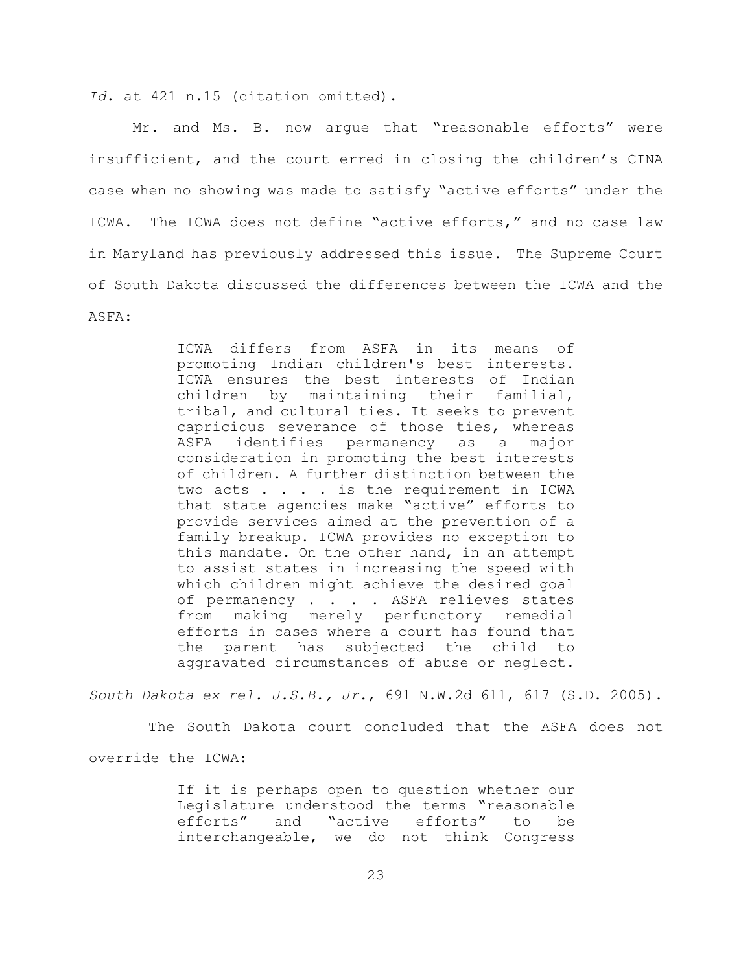*Id*. at 421 n.15 (citation omitted).

Mr. and Ms. B. now argue that "reasonable efforts" were insufficient, and the court erred in closing the children's CINA case when no showing was made to satisfy "active efforts" under the ICWA. The ICWA does not define "active efforts," and no case law in Maryland has previously addressed this issue. The Supreme Court of South Dakota discussed the differences between the ICWA and the ASFA:

> ICWA differs from ASFA in its means of promoting Indian children's best interests. ICWA ensures the best interests of Indian children by maintaining their familial, tribal, and cultural ties. It seeks to prevent capricious severance of those ties, whereas ASFA identifies permanency as a major consideration in promoting the best interests of children. A further distinction between the two acts . . . . is the requirement in ICWA that state agencies make "active" efforts to provide services aimed at the prevention of a family breakup. ICWA provides no exception to this mandate. On the other hand, in an attempt to assist states in increasing the speed with which children might achieve the desired goal of permanency . . . . ASFA relieves states from making merely perfunctory remedial efforts in cases where a court has found that the parent has subjected the child to aggravated circumstances of abuse or neglect.

*South Dakota ex rel. J.S.B., Jr.*, 691 N.W.2d 611, 617 (S.D. 2005).

 The South Dakota court concluded that the ASFA does not override the ICWA:

> If it is perhaps open to question whether our Legislature understood the terms "reasonable efforts" and "active efforts" to be interchangeable, we do not think Congress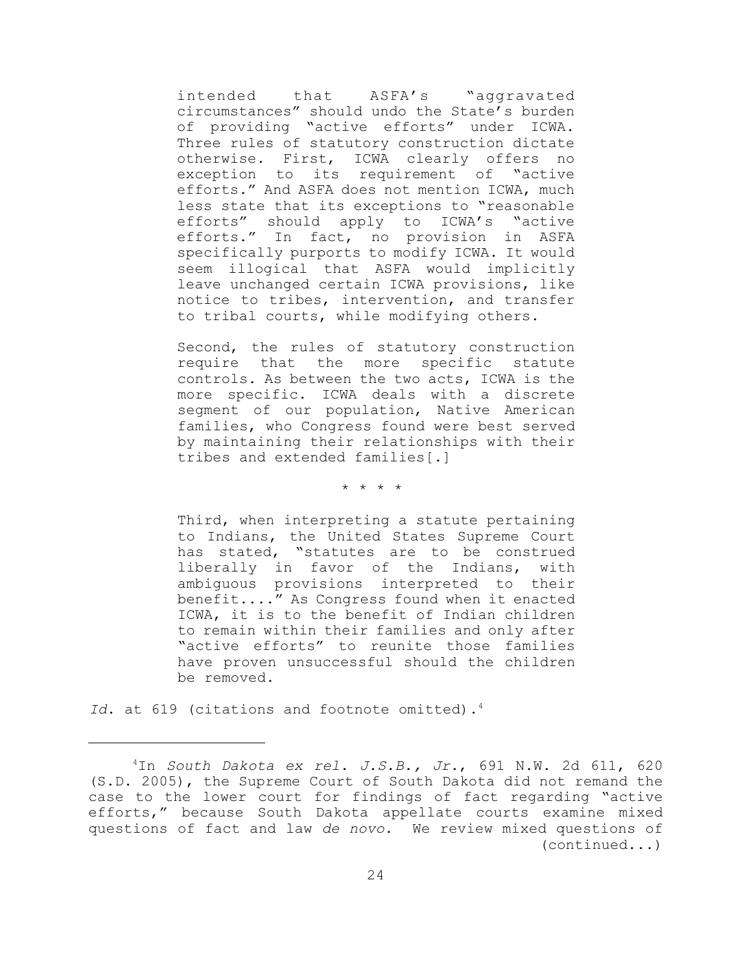intended that ASFA's "aggravated circumstances" should undo the State's burden of providing "active efforts" under ICWA. Three rules of statutory construction dictate otherwise. First, ICWA clearly offers no exception to its requirement of "active efforts." And ASFA does not mention ICWA, much less state that its exceptions to "reasonable efforts" should apply to ICWA's "active efforts." In fact, no provision in ASFA specifically purports to modify ICWA. It would seem illogical that ASFA would implicitly leave unchanged certain ICWA provisions, like notice to tribes, intervention, and transfer to tribal courts, while modifying others.

Second, the rules of statutory construction require that the more specific statute controls. As between the two acts, ICWA is the more specific. ICWA deals with a discrete segment of our population, Native American families, who Congress found were best served by maintaining their relationships with their tribes and extended families[.]

\* \* \* \*

Third, when interpreting a statute pertaining to Indians, the United States Supreme Court has stated, "statutes are to be construed liberally in favor of the Indians, with ambiguous provisions interpreted to their benefit...." As Congress found when it enacted ICWA, it is to the benefit of Indian children to remain within their families and only after "active efforts" to reunite those families have proven unsuccessful should the children be removed.

Id. at 619 (citations and footnote omitted).<sup>4</sup>

<sup>4</sup>In *South Dakota ex rel. J.S.B., Jr.*, 691 N.W. 2d 611, 620 (S.D. 2005), the Supreme Court of South Dakota did not remand the case to the lower court for findings of fact regarding "active efforts," because South Dakota appellate courts examine mixed questions of fact and law *de novo*. We review mixed questions of (continued...)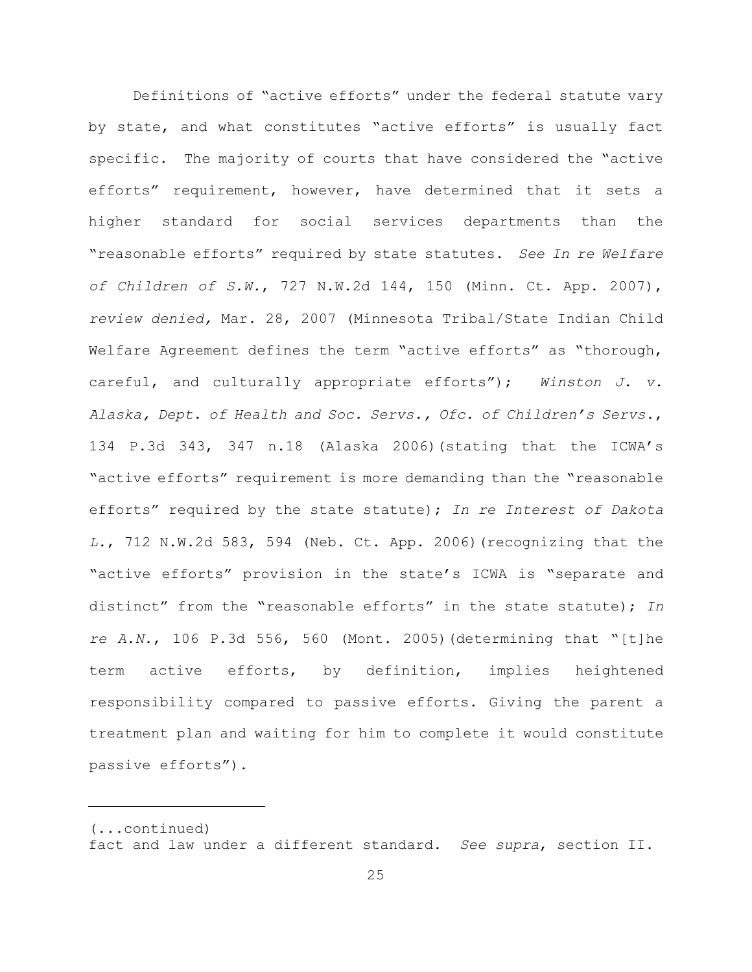Definitions of "active efforts" under the federal statute vary by state, and what constitutes "active efforts" is usually fact specific. The majority of courts that have considered the "active efforts" requirement, however, have determined that it sets a higher standard for social services departments than the "reasonable efforts" required by state statutes. *See In re Welfare of Children of S.W.*, 727 N.W.2d 144, 150 (Minn. Ct. App. 2007), *review denied,* Mar. 28, 2007 (Minnesota Tribal/State Indian Child Welfare Agreement defines the term "active efforts" as "thorough, careful, and culturally appropriate efforts"); *Winston J. v. Alaska, Dept. of Health and Soc. Servs., Ofc. of Children's Servs.*, 134 P.3d 343, 347 n.18 (Alaska 2006)(stating that the ICWA's "active efforts" requirement is more demanding than the "reasonable efforts" required by the state statute); *In re Interest of Dakota L.*, 712 N.W.2d 583, 594 (Neb. Ct. App. 2006)(recognizing that the "active efforts" provision in the state's ICWA is "separate and distinct" from the "reasonable efforts" in the state statute); *In re A.N.*, 106 P.3d 556, 560 (Mont. 2005)(determining that "[t]he term active efforts, by definition, implies heightened responsibility compared to passive efforts. Giving the parent a treatment plan and waiting for him to complete it would constitute passive efforts").

<sup>(...</sup>continued) fact and law under a different standard. *See supra*, section II.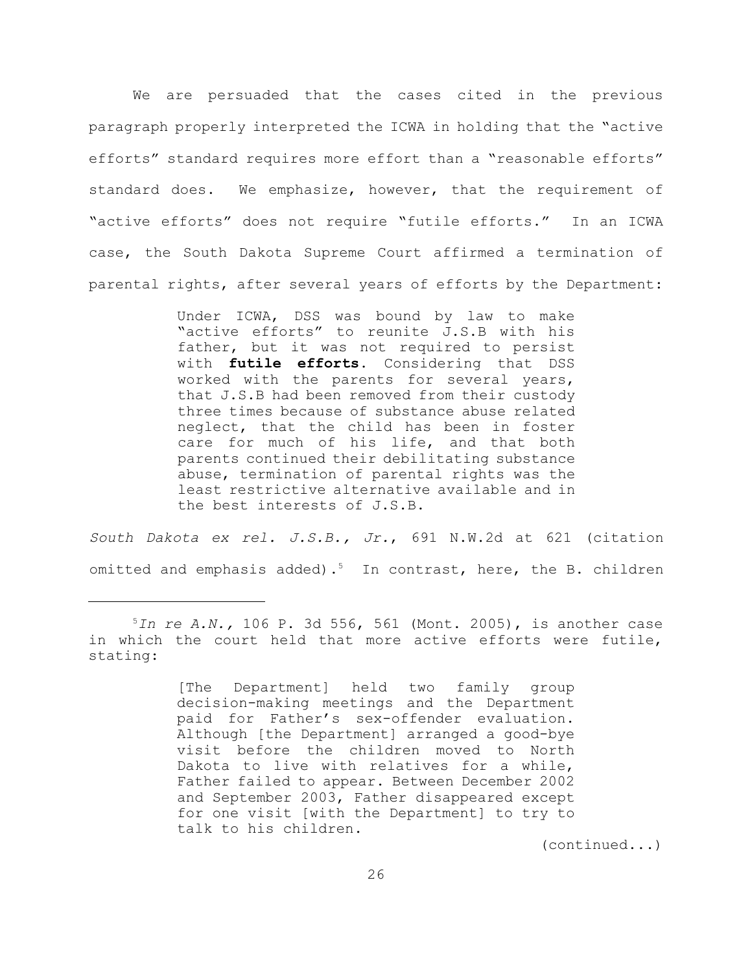We are persuaded that the cases cited in the previous paragraph properly interpreted the ICWA in holding that the "active efforts" standard requires more effort than a "reasonable efforts" standard does. We emphasize, however, that the requirement of "active efforts" does not require "futile efforts." In an ICWA case, the South Dakota Supreme Court affirmed a termination of parental rights, after several years of efforts by the Department:

> Under ICWA, DSS was bound by law to make "active efforts" to reunite J.S.B with his father, but it was not required to persist with **futile efforts**. Considering that DSS worked with the parents for several years, that J.S.B had been removed from their custody three times because of substance abuse related neglect, that the child has been in foster care for much of his life, and that both parents continued their debilitating substance abuse, termination of parental rights was the least restrictive alternative available and in the best interests of J.S.B.

*South Dakota ex rel. J.S.B., Jr.*, 691 N.W.2d at 621 (citation omitted and emphasis added).<sup>5</sup> In contrast, here, the B. children

(continued...)

<sup>5</sup>*In re A.N.,* 106 P. 3d 556, 561 (Mont. 2005), is another case in which the court held that more active efforts were futile, stating:

<sup>[</sup>The Department] held two family group decision-making meetings and the Department paid for Father's sex-offender evaluation. Although [the Department] arranged a good-bye visit before the children moved to North Dakota to live with relatives for a while, Father failed to appear. Between December 2002 and September 2003, Father disappeared except for one visit [with the Department] to try to talk to his children.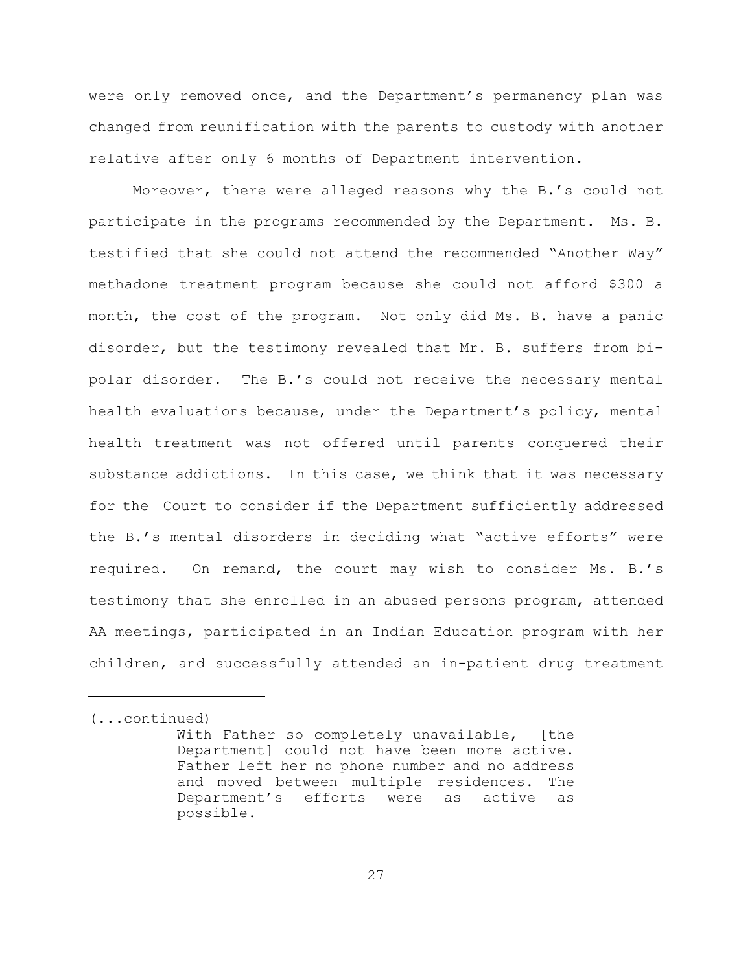were only removed once, and the Department's permanency plan was changed from reunification with the parents to custody with another relative after only 6 months of Department intervention.

Moreover, there were alleged reasons why the B.'s could not participate in the programs recommended by the Department. Ms. B. testified that she could not attend the recommended "Another Way" methadone treatment program because she could not afford \$300 a month, the cost of the program. Not only did Ms. B. have a panic disorder, but the testimony revealed that Mr. B. suffers from bipolar disorder.The B.'s could not receive the necessary mental health evaluations because, under the Department's policy, mental health treatment was not offered until parents conquered their substance addictions. In this case, we think that it was necessary for the Court to consider if the Department sufficiently addressed the B.'s mental disorders in deciding what "active efforts" were required. On remand, the court may wish to consider Ms. B.'s testimony that she enrolled in an abused persons program, attended AA meetings, participated in an Indian Education program with her children, and successfully attended an in-patient drug treatment

<sup>(...</sup>continued)

With Father so completely unavailable, [the Department] could not have been more active. Father left her no phone number and no address and moved between multiple residences. The Department's efforts were as active as possible.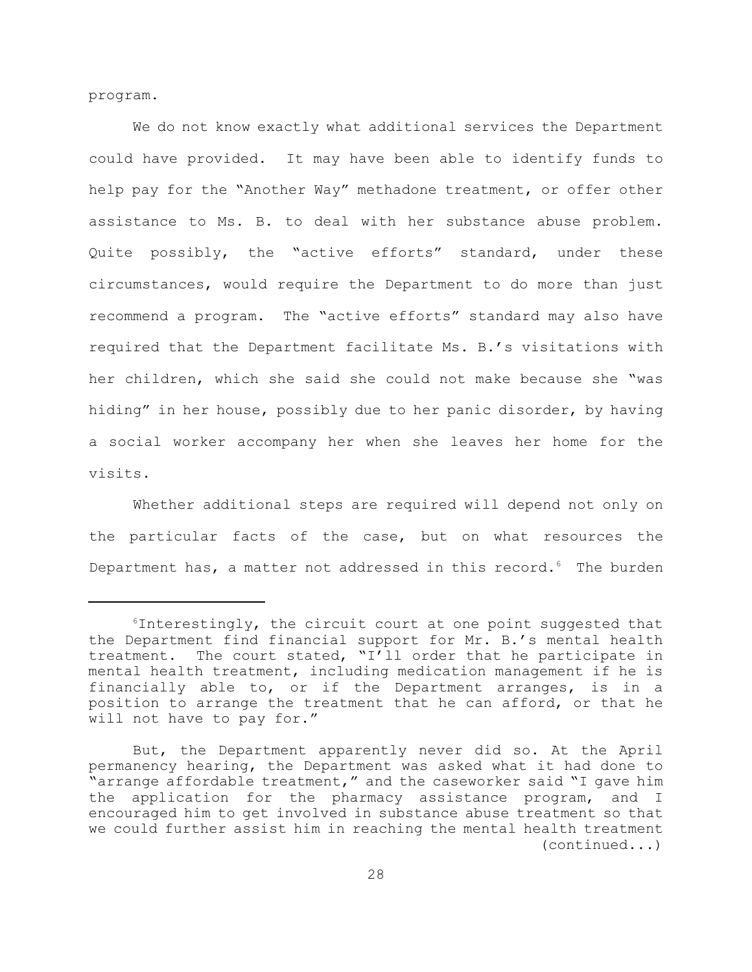program.

We do not know exactly what additional services the Department could have provided. It may have been able to identify funds to help pay for the "Another Way" methadone treatment, or offer other assistance to Ms. B. to deal with her substance abuse problem. Quite possibly, the "active efforts" standard, under these circumstances, would require the Department to do more than just recommend a program. The "active efforts" standard may also have required that the Department facilitate Ms. B.'s visitations with her children, which she said she could not make because she "was hiding" in her house, possibly due to her panic disorder, by having a social worker accompany her when she leaves her home for the visits.

Whether additional steps are required will depend not only on the particular facts of the case, but on what resources the Department has, a matter not addressed in this record. $6$  The burden

 $6$ Interestingly, the circuit court at one point suggested that the Department find financial support for Mr. B.'s mental health treatment. The court stated, "I'll order that he participate in mental health treatment, including medication management if he is financially able to, or if the Department arranges, is in a position to arrange the treatment that he can afford, or that he will not have to pay for."

But, the Department apparently never did so. At the April permanency hearing, the Department was asked what it had done to "arrange affordable treatment," and the caseworker said "I gave him the application for the pharmacy assistance program, and I encouraged him to get involved in substance abuse treatment so that we could further assist him in reaching the mental health treatment (continued...)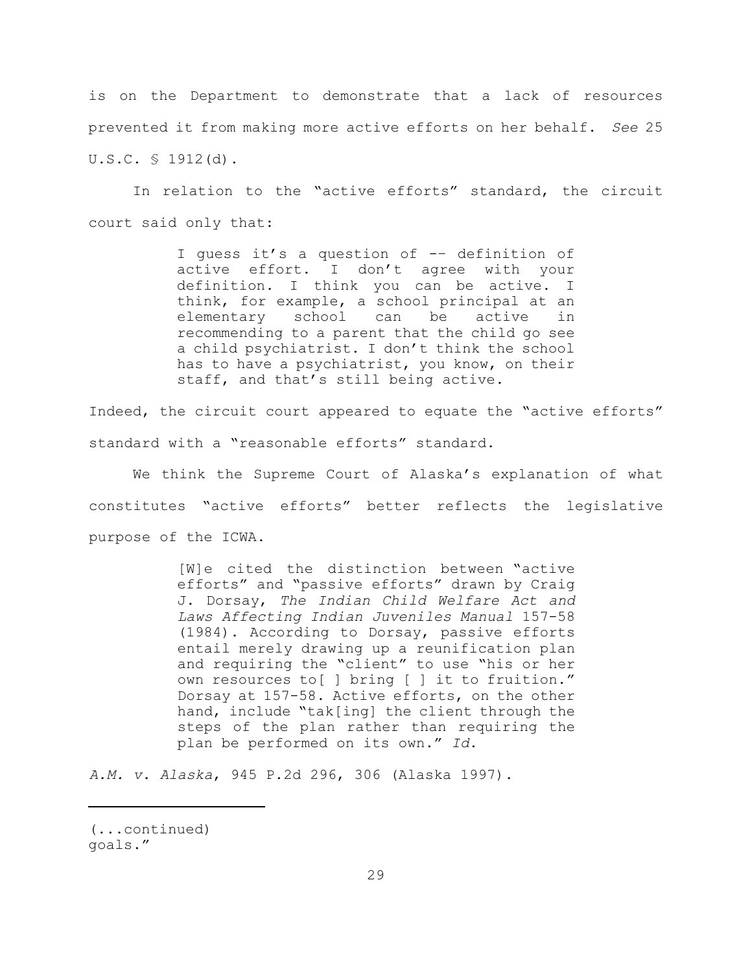is on the Department to demonstrate that a lack of resources prevented it from making more active efforts on her behalf. *See* 25 U.S.C. § 1912(d).

In relation to the "active efforts" standard, the circuit court said only that:

> I guess it's a question of -– definition of active effort. I don't agree with your definition. I think you can be active. I think, for example, a school principal at an elementary school can be active in recommending to a parent that the child go see a child psychiatrist. I don't think the school has to have a psychiatrist, you know, on their staff, and that's still being active.

Indeed, the circuit court appeared to equate the "active efforts" standard with a "reasonable efforts" standard.

We think the Supreme Court of Alaska's explanation of what constitutes "active efforts" better reflects the legislative purpose of the ICWA.

> [W]e cited the distinction between "active efforts" and "passive efforts" drawn by Craig J. Dorsay, *The Indian Child Welfare Act and Laws Affecting Indian Juveniles Manual* 157-58 (1984). According to Dorsay, passive efforts entail merely drawing up a reunification plan and requiring the "client" to use "his or her own resources to[ ] bring [ ] it to fruition." Dorsay at 157-58. Active efforts, on the other hand, include "tak[ing] the client through the steps of the plan rather than requiring the plan be performed on its own." *Id*.

*A.M. v. Alaska*, 945 P.2d 296, 306 (Alaska 1997).

<sup>(...</sup>continued) goals."